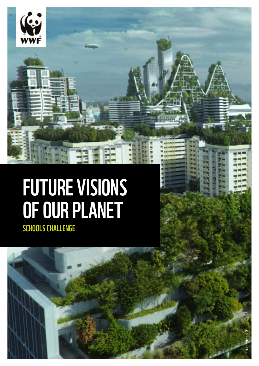# FUTURE VISIONS OF OUR PLANET



© Silverback Films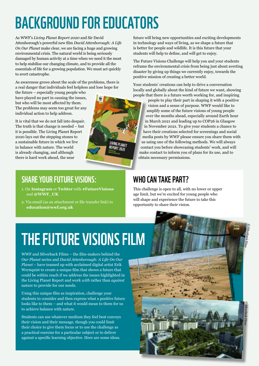# BACKGROUND FOR EDUCATORS

As WWF's *Living Planet Report 2020* and Sir David Attenborough's powerful new film *David Attenborough: A Life On Our Planet* make clear, we are facing a huge and growing environmental crisis. The natural world is being seriously damaged by human activity at a time when we need it the most to help stabilise our changing climate, and to provide all the essentials of life for a growing population. We must act quickly to avert catastrophe.

As awareness grows about the scale of the problems, there is a real danger that individuals feel helpless and lose hope for

the future – especially young people who have played no part in causing the issues, but who will be most affected by them. The problems may seem too great for any individual action to help address.

It is vital that we do not fall into despair. The truth is that change is needed – but it is possible. The Living Planet Report 2020 lays out the stepping stones to a sustainable future in which we live in balance with nature. The world is already changing, and although there is hard work ahead, the near



future will bring new opportunities and exciting developments in technology and ways of living, as we shape a future that is better for people and wildlife. It is this future that your students will help to define, and will get to enjoy.

The Future Visions Challenge will help you and your students reframe the environmental crisis from being just about averting disaster by giving up things we currently enjoy, towards the positive mission of creating a better world.

Your students' creations can help to drive a conversation locally and globally about the kind of future we want, showing people that there is a future worth working for, and inspiring

people to play their part in shaping it with a positive vision and a sense of purpose. WWF would like to amplify some of the future visions of young people over the months ahead, especially around Earth hour in March 2021 and leading up to COP26 in Glasgow in November 2021. To give your students a chance to have their creations selected for screenings and social media posts by WWF please ensure you share them with us using one of the following methods. We will always contact you before showcasing students' work, and will make contact to inform you of plans for its use, and to obtain necessary permissions.

## SHARE YOUR FUTURE VISIONS:

- 1. On **Instagram** or **Twitter** with **#FutureVisions** and **@WWF\_UK**
- 2. Via email (as an attachment or file transfer link) to **education@wwf.org.uk**

## WHO CAN TAKE PART?

This challenge is open to all, with no lower or upper age limit, but we're excited for young people who will shape and experience the future to take this opportunity to share their vision.

## THE FUTURE VISIONS FILM

WWF and Silverback Films – the film-makers behind the *Our Planet* series and *David Attenborough: A Life On Our Planet* – have teamed up with acclaimed digital artist Erik Wernquist to create a unique film that shows a future that could be within reach if we address the issues highlighted in the Living Planet Report and work *with* rather than *against* nature to provide for our needs.

Using this unique film as inspiration, challenge your students to consider and then express what a positive future looks like to them – and what it would mean to them for us to achieve balance with nature.

Students can use whatever medium they feel best conveys their vision and their message, though you could limit their choice to give them focus or to use the challenge as a practical exercise for a particular subject or to deliver against a specific learning objective. Here are some ideas.